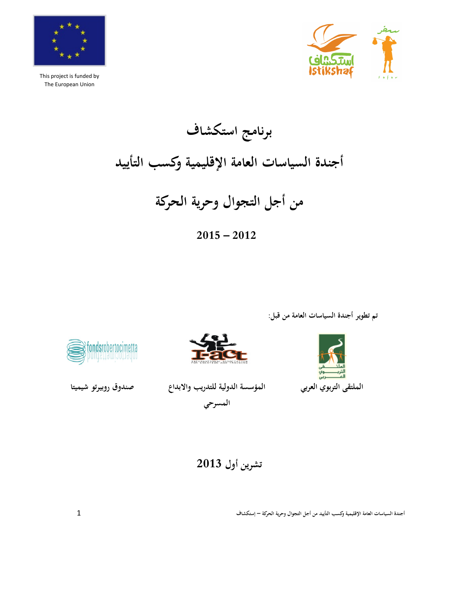

This project is funded by The European Union





 $2015 - 2012$ 

تم تطوير أجندة السياسات العامة من قبل:







صندوق روبيرتو شيميتا

المؤسسة الدولية للتدريب والابداع المسرحي

تشرين أول 2013

أجندة السياسات العامة الإقليمية وكسب التأييد من أجل التجوال وحرية الحركة – إستكشاف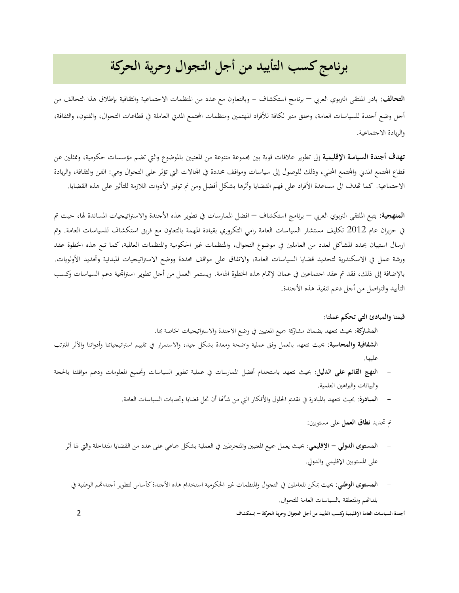# برنامج كسب التأييد من أجل التجوال وحرية الحركة

ا**لتحالف**: بادر الملتقى التربوي العربي — برنامج استكشاف – وبالتعاون مع عدد من المنظمات الاجتماعية والثقافية بإطلاق هذا التحالف من أجل وضع أجندة للسياسات العامة، وخلق منبر لكافة للأفراد المهتمين ومنظمات المحتمع المدبي العاملة في قطاعات التحوال، والفنون، والثقافة، والريادة الاجتماعية.

**تهدف أجندة السياسة الإقليمية** إلى تطوير علاقات قوية بين مجموعة متنوعة من المعنيين بالموضوع والتي تضم مؤسسات حكومية، وممثلين عن قطاع المجتمع المدني والمجتمع المحلي، وذلك للوصول إلى سياسات ومواقف محددة في المحالات التي تؤثر على التحوال وهي: الفن والثقافة، والريادة الاجتماعية. كما تحدف الى مساعدة الأفراد على فهم القضايا وأثرها بشكل أفضل ومن ثم توفير الأدوات اللازمة للتأثير على هذه القضايا.

**المنهجية**: يتبع الملتقى التربوي العربي — برنامج استكشاف — افضل الممارسات في تطوير هذه الأجندة والاستراتيجيات المساندة لها، حيث تم في حزيران عام 2012 تكليف مستشار السياسات العامة رامي التكروري بقيادة المهمة بالتعاون مع فريق استكشاف للسياسات العامة. وتم ارسال استبيان يحدد المشاكل لعدد من العاملين في موضوع التحوال، والمنظمات غير الحكومية والمنظمات العالمية، كما تبع هذه الخطوة عقد ورشة عمل في الاسكندرية لتحديد قضايا السياسات العامة، والاتفاق على مواقف محددة ووضع الاستراتيجيات المبدئية وتحديد الأولويات. بالإضافة إلى ذلك، فقد تم عقد اجتماعين في عمان لإتمام هذه الخطوة الهامة. ويستمر العمل من أجل تطوير استراتجية دعم السياسات وكسب التأييد والتواصل من أجل دعم تنفيذ هذه الأجندة.

قيمنا والمبادئ التي تحكم عملنا:

- المشاركة: بحيث نتعهد بضمان مشاركة جميع المعنيين في وضع الاجندة والاستراتيجيات الخاصة بما.
- **الشفافية والمحاسبة**: بحيث نتعهد بالعمل وفق عملية واضحة ومعدة بشكل جيد، والاستمرار في تقييم استراتيحياتنا وأدواتنا والأثر المترتب  $\qquad \qquad -$ عليها.
- **النهج القائم على الدليل**: بحيث نتعهد باستخدام أفضل الممارسات في عملية تطوير السياسات وتجميع المعلومات ودعم مواقفنا بالحجة  $\bar{a}$ والبيانات والبراهين العلمية.
	- المبادرة: بحيث نتعهد بالمبادرة في تقديم الحلول والأفكار التي من شأنها أن تحل قضايا وتحديات السياسات العامة.

تم تحديد **نطاق العمل** على مستويين:

- المعستوى الدولي الإقليمي: بحيث يعمل جميع المعنيين والمنخرطين في العملية بشكل جماعي على عدد من القضايا المتداخلة والتي لها أثر على المستويين الإقليمي والدولي.
	- **المستوى الوطني**: بحيث يمكن للعاملين في التجوال والمنظمات غير الحكومية استخدام هذه الأجندة كأساس لتطوير أجنداتهم الوطنية في بلدائهم والمتعلقة بالسياسات العامة للتحوال.

أجندة السياسات العامة الإقليمية وكسب التأييد من أجل التجوال وحرية الحركة – إستكشاف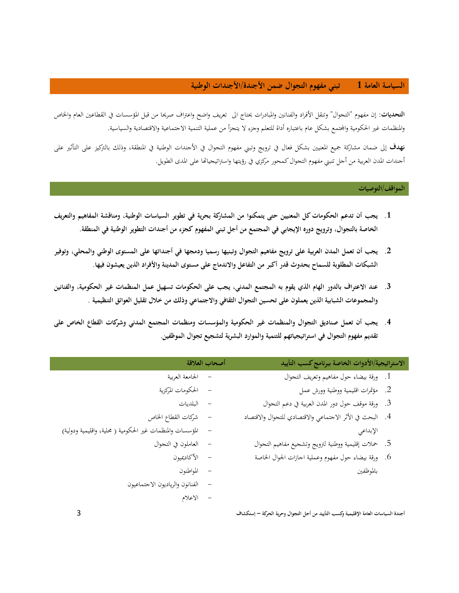#### تبنى مفهوم التجوال ضمن الأجندة/الأجندات الوطنية السياسة العامة 1

**التحديات**: إن مفهوم "التجوال" وتنقل الأفراد والفنانين والمبادرات يحتاج الى تعريف واضح واعتراف صريحا من قبل المؤسسات في القطاعين العام والخاص والمنظمات غير الحكومية والجتمع بشكل عام باعتباره أداة للتعلم وجزء لا يتحزأ من عملية التنمية الاجتماعية والاقتصادية والسياسية.

نهدف إلى ضمان مشاركة جميع المعنيين بشكل فعال في ترويج وتبنى مفهوم التحوال في الأحندات الوطنية في المنطقة، وذلك بالتركيز على التأثير على أجندات المدن العربية من أجل تنبني مفهوم التجوال كمحور مركزي في رؤيتها واستراتيجياتها على المدى الطويل.

## المواقف/التوصيات

- 1. يجب أن تدعم الحكومات كل المعنيين حتى يتمكنوا من المشاركة بحرية في تطوير السياسات الوطنية، ومناقشة المفاهيم والتعريف الخاصة بالتجوال، وترويج دوره الإيجابي في المجتمع من أجل تبني المفهوم كجزء من أجندات التطوير الوطنية في المنطقة.
- 2. يجب أن تعمل المدن العربية على ترويج مفاهيم التجوال وتبنيها رسميا ودمجها في أجنداتها على المستوى الوطني والمحلي، وتوفير الشبكات المطلوبة للسماح بحدوث قدر أكبر من التفاعل والاندماج على مستوى المدينة والأفراد الذين يعيشون فيها.
- 3. عند الاعتراف بالدور الهام الذي يقوم به المجتمع المدنى، يجب على الحكومات تسهيل عمل المنظمات غير الحكومية، والفنانين والمجموعات الشبابية الذين يعملون على تحسين التجوال الثقافي والاجتماعي وذلك من خلال تقليل العوائق التنظيمية .
- 4. يجب أن تعمل صناديق التجوال والمنظمات غير الحكومية والمؤسسات ومنظمات المجتمع المدنى وشركات القطاع الخاص على تقديم مفهوم التجوال في استراتيجياتهم للتنمية والموارد البشرية لتشجيع تجوال الموظفين.

|                                                           | أصحاب العلاقة | الاستراتيجية/الأدوات الخاصة ببرنامج كسب التأييد          |
|-----------------------------------------------------------|---------------|----------------------------------------------------------|
| – الجامعة العربية                                         |               | 1. ورقة بيضاء حول مفاهيم وتعريف التحوال                  |
| – الحكومات المركزية                                       |               | 2.    مؤتمرات اقليمية ووطنية وورش عمل                    |
| – البلديات                                                |               | 3. ورقة موقف حول دور المدن العربية في دعم التجوال        |
| – شركات القطاع الخاص                                      |               | 4. البحث في الأثر الاجتماعي والاقتصادي للتجوال والاقتصاد |
| المؤسسات والمنظمات غير الحكومية ( محلية، واقليمية ودولية) |               | الإبداعي                                                 |
| – العاملون في التجوال                                     |               | 5. حملات إقليمية ووطنية لترويج وتشجيع مفاهيم التحوال     |
| – الأكاديميون                                             |               | 6. ورقة بيضاء حول مفهوم وعملية اجازات الجوال الخاصة      |
| – المواطنون                                               |               | بالموظفين                                                |
| الفنانون والرياديون الاجتماعيون                           |               |                                                          |

- الاعلام

أجندة السياسات العامة الإقليمية وكسب التأييد من أجل التجوال وحرية الحركة — إستكشاف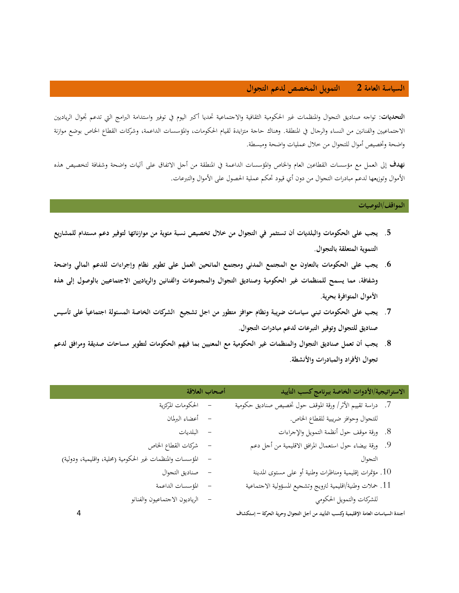#### السياسة العامة 2 التمويل المخصص لدعم التجوال

**التحديات**: تواجه صناديق التجوال والمنظمات غير الحكومية الثقافية والاجتماعية تحديا أكبر اليوم في توفير واستدامة البرامج التي تدعم تجوال الرياديين الاحتماعيين والفنانين من النساء والرجال في المنطقة. وهناك حاجة متزايدة لقيام الحكومات، والمؤسسات الداعمة، وشركات القطاع الخاص بوضع موازنة واضحة وتخصيص أموال للتجوال من خلال عمليات واضحة ومبسطة.

**نهدف** إلى العمل مع مؤسسات القطاعين العام والخاص والمؤسسات الداعمة في المنطقة من أجل الاتفاق على آليات واضحة وشفافة لتخصيص هذه الأموال وتوزيعها لدعم مبادرات التحوال من دون أي قيود تحكم عملية الحصول على الأموال والتبرعات.

## المواقف/التوصيات

- 5. ٪ يجب على الحكومات والبلديات أن تستثمر في التجوال من خلال تخصيص نسبة مئوية من موازناتها لتوفير دعم مستدام للمشاريع التنموية المتعلقة بالتجوال.
- 6. يجب على الحكومات بالتعاون مع المجتمع المدنى ومجتمع المانحين العمل على تطوير نظام وإجراءات للدعم المالي واضحة وشفافة، مما يسمح للمنظمات غير الحكومية وصناديق التجوال والمجموعات والفنانين والرياديين الاجتماعيين بالوصول إلى هذه الأموال المتوافرة بحرية.
- 7. ٪ يجب على الحكومات تبنى سياسات ضريبة ونظام حوافز متطور من اجل تشجيع الشركات الخاصة المسئولة اجتماعياً على تأسيس صناديق للتجوال وتوفير التبرعات لدعم مبادرات التجوال.
- 8. يجب أن تعمل صناديق التجوال والمنظمات غير الحكومية مع المعنيين بما فيهم الحكومات لتطوير مساحات صديقة ومرافق لدعم تجوال الأفراد والمبادرات والأنشطة.

|                                                           | أصحاب العلاقة | الاستراتيجية/الأدوات الخاصة ببرنامج كسب التأييد                                    |
|-----------------------------------------------------------|---------------|------------------------------------------------------------------------------------|
| الحكومات المركزية                                         |               | 7.    دراسة تقييم الأثر/ ورقة الموقف حول تخصيص صناديق حكومية                       |
| – أعضاء البرلمان                                          |               | للتحوال وحوافز ضريبية للقطاع الخاص.                                                |
| – البلديات                                                |               | 8. ورقة موقف حول أنظمة التمويل والإجراءات                                          |
| – شركات القطاع الخاص                                      |               | 9. ورقة بيضاء حول استعمال المرافق الاقليمية من أجل دعم                             |
| المؤسسات والمنظمات غير الحكومية (محلية، واقليمية، ودولية) |               | التجوال                                                                            |
| – صناديق التجوال                                          |               | 10. مؤتمرات إقليمية ومناظرات وطنية أو على مستوى المدينة                            |
| المؤسسات الداعمة                                          |               | 11. حملات وطنية/اقليمية لترويج وتشحيع المسؤولية الاجتماعية                         |
| الرياديون الاجتماعيون والفنانو                            |               | للشركات والتمويل الحكومي                                                           |
|                                                           |               | أجندة السياسات العامة الإقليمية وكسب التأييد من أجل التجوال وحرية الحركة — إستكشاف |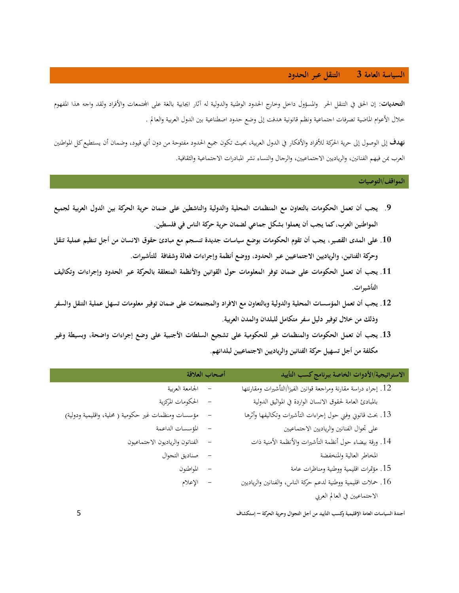#### التنقل عبر الحدود السياسة العامة 3

**التحديات**: إن الحق في التنقل الحر والمسؤول داخل وخارج الحدود الوطنية والدولية له آثار ايجابية بالغة على المجتمعات والأفراد ولقد واجه هذا المفهوم خلال الأعوام الماضية تصرفات اجتماعية ونظم قانونية هدفت إلى وضع حدود اصطناعية بين الدول العربية والعالم .

**نهدف** إلى الوصول إلى حرية الحركة للأفراد والأفكار في الدول العربية، بحيث تكون جميع الحدود مفتوحة من دون أي قيود، وضمان أن يستطيع كل المواطنين العرب بمن فيهم الفنانين، والرياديين الاجتماعيين، والرحال والنساء نشر المبادرات الاجتماعية والثقافية.

## المواقف/التوصيات

- 9. يجب أن تعمل الحكومات بالتعاون مع المنظمات المحلية والدولية والناشطين على ضمان حرية الحركة بين الدول العربية لجميع المواطنين العرب، كما يجب أن يعملوا بشكل جماعي لضمان حرية حركة الناس في فلسطين.
- 10. على المدى القصير ، يجب أن تقوم الحكومات بوضع سياسات جديدة تنسجم مع مبادئ حقوق الانسان من أجل تنظيم عملية تنقل وحركة الفنانين، والرياديين الاجتماعيين عبر الحدود، ووضع أنظمة وإجراءات فعالة وشفافة للتأشيرات.
- 11. يجب أن تعمل الحكومات على ضمان توفر المعلومات حول القوانين والأنظمة المتعلقة بالحركة عبر الحدود وإجراءات وتكاليف التأشيرات.
- 12. يجب أن تعمل المؤسسات المحلية والدولية وبالتعاون مع الافراد والمجتمعات على ضمان توفير معلومات تسهل عملية التنقل والسفر وذلك من خلال توفير دليل سفر متكامل للبلدان والمدن العربية.
- 13. يجب أن تعمل الحكومات والمنظمات غير للحكومية على تشجيع السلطات الأجنبية على وضع إجراءات واضحة، وبسيطة وغير مكلفة من أجل تسهيل حركة الفنانين والرياديين الاجتماعيين لبلدانهم.

|                                                     | أصحاب العلاقة            | الاستراتيجية/الأدوات الخاصة ببرنامج كسب التأييد                  |
|-----------------------------------------------------|--------------------------|------------------------------------------------------------------|
| الجامعة العربية                                     |                          | 12. إجراء دراسة مقارنة ومراجعة قوانين الفيزا/التأشيرات ومقارنتها |
| الحكومات المركزية                                   |                          | بالمبادئ العامة لحقوق الانسان الواردة في المواثيق الدولية        |
| مؤسسات ومنظمات غير حكومية ( محلية، واقليمية ودولية) |                          | 13. بحث قانوني وفني حول إجراءات التأشيرات وتكاليفها وأثرها       |
| – المؤسسات الداعمة                                  |                          | على تحوال الفنانين والرياديين الاجتماعيين                        |
| الفنانون والرياديون الاجتماعيون                     | $\overline{\phantom{0}}$ | 14. ورقة بيضاء حول أنظمة التأشيرات والأنظمة الأمنية ذات          |
| صناديق التحوال                                      |                          | المخاطر العالية والمنخفضة                                        |
| – المواطنون                                         |                          | 15. مؤتمرات اقليمية ووطنية ومناظرات عامة                         |
| – الإعلام                                           |                          | 16. حملات اقليمية ووطنية لدعم حركة الناس، والفنانين والرياديين   |
|                                                     |                          | الاجتماعيين في العالم العربي                                     |

أجندة السياسات العامة الإقليمية وكسب التأييد من أجل التجوال وحرية الحركة — إستكشاف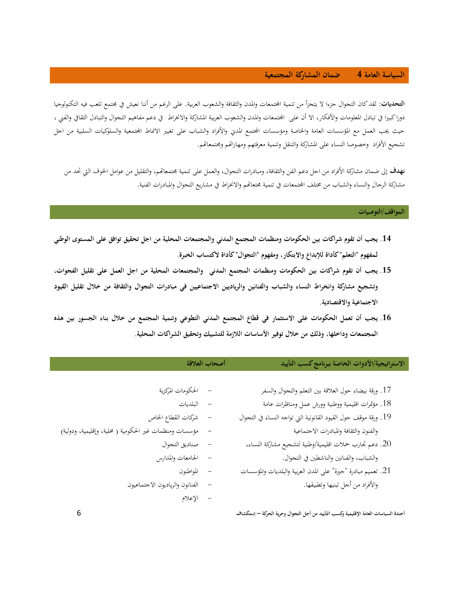#### السياسة العامة 4 ضمان المشاركة المجتمعية

**التحديات**: لقد كان التجوال جزءا لا يتجزأ من تنمية المحتمعات والمدن والثقافة والشعوب العربية. على الرغم من أننا نعيش في مجتمع تلعب فيه التكنولوجيا دوراكبيرا في تبادل المعلومات والأفكار، الا أن على المجتمعات والمدن والشعوب العربية المشاركة والانخراط في دعم مفاهيم التحوال والتبادل الثقافي والفني ، حيث يجب العمل مع المؤسسات العامة والخاصة ومؤسسات المحتمع المدني والأفراد والشباب على تغيير الانماط المحتمعية والسلوكيات السلبية من اجل تشجيع الأفراد وخصوصا النساء على المشاركة والتنقل وتنمية معرفتهم ومهاراتهم ومحتمعاتهم.

**نهدف** إلى ضمان مشاركة الأفراد من احل دعم الفن والثقافة، ومبادرات التحوال، والعمل على تنمية مجتمعاتمم، والتقليل من عوامل الخوف التي تحد من مشاركة الرجال والنساء والشباب من مختلف المجتمعات في تنمية مجتعاتمم والانخراط في مشاريع التجوال والمبادرات الفنية.

## المواقف/التوصيات

- 14. يجب أن تقوم شراكات بين الحكومات ومنظمات المجتمع المدني والمجتمعات المحلية من اجل تحقيق توافق على المستوى الوطني لمفهوم "التعلم" كأداة للإبداع والابتكار ، ومفهوم "التجوال" كأداة لاكتساب الخبرة.
- 15. يجب أن تقوم شراكات بين الحكومات ومنظمات المجتمع المدني والمجتمعات المحلية من اجل العمل على تقليل الفجوات، وتشجيع مشاركة وانخراط النساء والشباب والفنانين والرياديين الاجتماعيين في مبادرات التجوال والثقافة من خلال تقليل القيود الاجتماعية والاقتصادية.
- 16. يجب أن تعمل الحكومات على الاستثمار في قطاع المجتمع المدنى التطوعي وتنمية المجتمع من خلال بناء الجسور بين هذه المجتمعات وداخلها، وذلك من خلال توفير الأساسات اللازمة للتشبيك وتحقيق الشراكات المحلية.

الاستراتيجية/الأدوات الخاصة ببرنامج كسب التأييد

- 17. ورقة بيضاء حول العلاقة بين التعلم والتحوال والسفر
- 18. مؤتمرات اقليمية ووطنية وورش عمل ومناظرات عامة
- 19. ورقة موقف حول القيود القانونية التي تواجه النساء في التحوال والفنون والثقافة والمبادرات الاجتماعية
	- دعم تجارب حملات اقليمية/وطنية لتشجيع مشاركة النساء،  $20\,$ والشباب، والفنانين والناشطين في التجوال.
- 21. تعميم مبادرة "جيرة" على المدن العربية والبلديات والمؤسسات والأفراد من أحل تبنيها وتطبيقها.
- الحكومات المركزية
	- البلديات

أصحاب العلاقة

- شركات القطاع الخاص
- مؤسسات ومنظمات غير الحكومية ( محلية، وإقليمية، ودولية)
	- صناديق التجوال
	- الجامعات والمدارس
		- المواطنون
	- الفنانون والرياديون الاجتماعيون  $\overline{\phantom{a}}$ 
		- الإعلام

أجندة السياسات العامة الإقليمية وكسب التأييد من أجل التجوال وحرية الحركة — إستكشاف